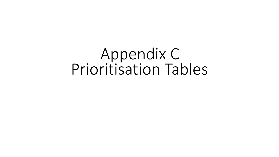## Appendix C Prioritisation Tables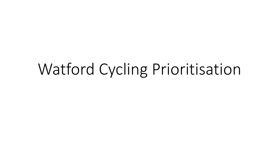## Watford Cycling Prioritisation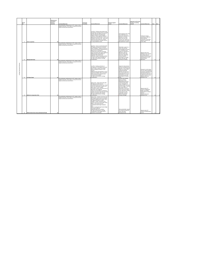|                          | Route          |                                            | Effectiveness<br>and Policy<br>Ranking |                                                                                                                                                               | Technical   |                                                                                                                                                                                                                                                                                                                                                                                                                                                                                                                                                                        | Scheme support - |                                                                                                                                                                                                                                                                                                                                                                                                                 | Alignment with known<br>funding or existing |                                                                                                                                                                                                                         |       |      |
|--------------------------|----------------|--------------------------------------------|----------------------------------------|---------------------------------------------------------------------------------------------------------------------------------------------------------------|-------------|------------------------------------------------------------------------------------------------------------------------------------------------------------------------------------------------------------------------------------------------------------------------------------------------------------------------------------------------------------------------------------------------------------------------------------------------------------------------------------------------------------------------------------------------------------------------|------------------|-----------------------------------------------------------------------------------------------------------------------------------------------------------------------------------------------------------------------------------------------------------------------------------------------------------------------------------------------------------------------------------------------------------------|---------------------------------------------|-------------------------------------------------------------------------------------------------------------------------------------------------------------------------------------------------------------------------|-------|------|
|                          | No             |                                            | (reverse)                              | Comment/Rationale                                                                                                                                             | Feasibility | Comment/Rationale                                                                                                                                                                                                                                                                                                                                                                                                                                                                                                                                                      | overall          | Comment/Rationale                                                                                                                                                                                                                                                                                                                                                                                               | scheme                                      | Comment/Rationale                                                                                                                                                                                                       | Total | Rank |
|                          |                |                                            |                                        | Pre-orioritisation ranking based on PCT outputs, Index of<br>Multiple Deprivation, Place Matrix scoring and severance<br>moacts and discussion with officers. |             | Low-Risk - Existing route primarily using<br>formalisation and improvement of existing<br>facilities within the highway boundary or<br>along the alignment of existing path.<br>Unlikely to require significant additional<br>approvals as predominently on-road or on<br>existing off road ovcle route. Liaison with<br>retail park owners likely to be required.                                                                                                                                                                                                     |                  | Good support for this route<br>from stakeholders but<br>priority was questioned by<br>Members as existing<br>rather than new route.<br>Concern over relance on                                                                                                                                                                                                                                                  |                                             | Funding for footway<br>resurfacing of Abert Rd<br>South allocated.<br>Connection of two SDAs                                                                                                                            |       |      |
|                          |                |                                            |                                        |                                                                                                                                                               |             | Few environmental or heritage concerns<br>as using established routes.                                                                                                                                                                                                                                                                                                                                                                                                                                                                                                 |                  | shared space and conflict<br>with pedestrians in places.                                                                                                                                                                                                                                                                                                                                                        |                                             | Watford Junctionn and<br>Coine Valley.                                                                                                                                                                                  |       |      |
|                          |                | <b>Green Loop East</b>                     |                                        | Pre-prioritisation ranking based on PCT outputs, Index of<br>Multiple Deprivation, Place Matrix scoring and severance<br>mpacts and discussion with officers. |             | High Risk - Route is predominently within<br>the highway boundary but constrained<br>space throughout. Requires provision of<br>new oycle link through existing pedestrian<br>High St area of Vicarage Rd.<br>Footway level cycling and constrained<br>space at junctions may require significant<br>additional approval/consultation or<br>negotiation with residents and<br>businesses. Impact on parking also likely<br>to require further agreement/approval.                                                                                                      |                  | Stakeholder support for a<br>route in this area but<br>acknowledgement that this<br>is a constrained route -<br>support for exploration of<br>atemative routes eg<br>Thomas Sawyer Way.<br>Ebury Way. Significant<br>concern related to<br>constraints on Vicarage                                                                                                                                              |                                             | Alignment with route<br>identified in IDP. Potential<br>for funding related to<br>Watford General Hospital<br>redevelopment & Ascot                                                                                     |       |      |
|                          | $\overline{2}$ | <b>Whippendell Road</b>                    | 13                                     |                                                                                                                                                               |             | No major environmental or heritage<br>considerations.                                                                                                                                                                                                                                                                                                                                                                                                                                                                                                                  |                  | Road, difficulties with<br>removing car parking.                                                                                                                                                                                                                                                                                                                                                                |                                             | Road local plan<br>alocations.                                                                                                                                                                                          | 47    |      |
| ā<br>Cycling Prior itsed | $\mathbf{a}$   | St Albans Road                             |                                        | Pre-prioritisation ranking based on PCT outputs, Index of<br>Multiple Deprivation, Place Matrix scoring and severance<br>moacts and discussion with officers. |             | Low Risk - Existing cycle lanes on<br>carriageway for the majority of the route<br>there is space to deliver the facilities<br>within the highway boundary in most<br>sections<br>Additional approvals/hegotiations may be<br>required for facilities at the Local Centre<br>where footway level cycling has been<br>considered unaccentable<br>No major environmental or heritage<br>considerations.                                                                                                                                                                  |                  | Support for improvements<br>at Dome Roundabout from<br>Members. Lack of political<br>support for footway level<br>cycling through High<br>Street/Local Centre area.<br>Very strong support from<br>stakeholders for concept<br>of protected cycle route<br>along length of St Albans<br>Road<br>Concern over available                                                                                          |                                             | Potential for s106 funding<br>from bus station developer<br>at Garston Lane/A405 and<br>potential development at<br>onspring Car park and on<br>southern section of route<br>Alignment with route<br>identified in IDP. |       |      |
|                          | 6              | <b>Watford to Carpenders Park</b>          | 11                                     | Pre-prioritisation ranking based on PCT outputs, Index of<br>Multiple Deprivation. Place Matrix scoring and severance<br>mpacts and discussion with officers. |             | Medium Risk - Mainly deliverable within<br>the highway boundary but very<br>constrained route at northern end. Route<br>is but more deliverable at southern end<br>where space is more available.<br>Constraints could be overcome by use of<br>alternative route suggested.<br>Likely to be some impacts on parking at<br>southern end of the route which may need<br>particular negotiation with residents.<br>No major environmental or heritage<br>considerations.                                                                                                 |                  | space in sections<br>particularly around<br>Wigganhall Road Bridge.<br>Less strong than other<br>routes. Recognition of<br>existing facilities and need<br>to focus on gaps. Concerr<br>that cyclists will be on<br>wrong side of road south<br>of the Coine River bridge.<br>Lower High Street corridor<br>to east seen as main<br>sustainable corridor in<br>Watford Sustainable<br><b>Transport Strategy</b> |                                             | Alignment with ATF<br>scheme at Wiggenhall<br>Bridge. Few funding<br>opportunities on southern<br>sections<br>Alignment with route<br>identified in IDP.                                                                | 10    |      |
|                          | 17             | Watford North River Route (Hempstead Road) | 10                                     | Pre-prioritisation ranking based on PCT outputs, Index of<br>Multiple Deprivation, Place Matrix scoring and severance<br>moacts and discussion with officers. |             | Medium Risk - Southern end of the route<br>with stepped track provision at should be<br>relatively straightforward to deliver within<br>the highway boundary as width is<br>available. Greater constraints at the<br>northern end of the route through Hunton<br>Bridge - pinch points and more<br>constrained route through residential<br>area<br>Impact on parking through Hunton Bridge<br>may require additional<br>negotiation/approval of residents.<br>No major environmental or heritage<br>considerations if the towpath route is<br>avoided as recommended. |                  | Strong stakeholder support<br>for concept of proetected<br>cycle route along<br>Hempstead Road                                                                                                                                                                                                                                                                                                                  |                                             | Alignment with ATF<br>scheme at Stratford Way<br>junction                                                                                                                                                               | 17    | 3    |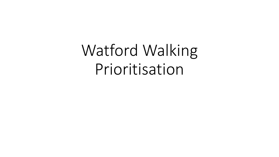Watford Walking Prioritisation